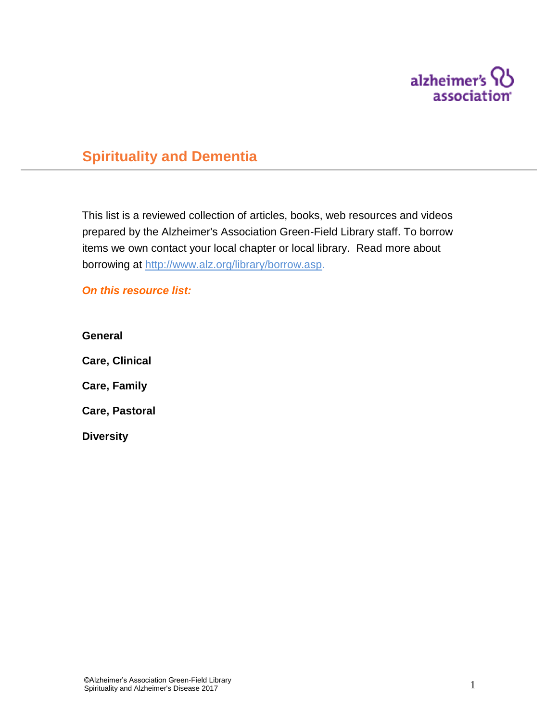

# **Spirituality and Dementia**

This list is a reviewed collection of articles, books, web resources and videos prepared by the Alzheimer's Association Green-Field Library staff. To borrow items we own contact your local chapter or local library. Read more about borrowing at [http://www.alz.org/library/borrow.asp.](http://www.alz.org/library/borrow.asp)

*On this resource list:*

**General Care, Clinical Care, Family Care, Pastoral Diversity**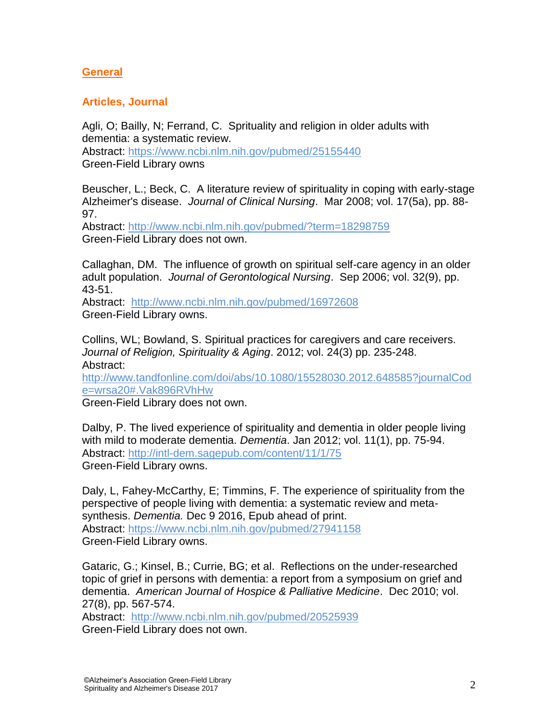### **General**

### **Articles, Journal**

Agli, O; Bailly, N; Ferrand, C. Sprituality and religion in older adults with dementia: a systematic review. Abstract:<https://www.ncbi.nlm.nih.gov/pubmed/25155440> Green-Field Library owns

Beuscher, L.; Beck, C. A literature review of spirituality in coping with early-stage Alzheimer's disease. *Journal of Clinical Nursing*. Mar 2008; vol. 17(5a), pp. 88- 97.

Abstract:<http://www.ncbi.nlm.nih.gov/pubmed/?term=18298759> Green-Field Library does not own.

Callaghan, DM. The influence of growth on spiritual self-care agency in an older adult population. *Journal of Gerontological Nursing*. Sep 2006; vol. 32(9), pp. 43-51.

Abstract: <http://www.ncbi.nlm.nih.gov/pubmed/16972608> Green-Field Library owns.

Collins, WL; Bowland, S. Spiritual practices for caregivers and care receivers. *Journal of Religion, Spirituality & Aging*. 2012; vol. 24(3) pp. 235-248. Abstract:

[http://www.tandfonline.com/doi/abs/10.1080/15528030.2012.648585?journalCod](http://www.tandfonline.com/doi/abs/10.1080/15528030.2012.648585?journalCode=wrsa20%23.Vak896RVhHw) [e=wrsa20#.Vak896RVhHw](http://www.tandfonline.com/doi/abs/10.1080/15528030.2012.648585?journalCode=wrsa20%23.Vak896RVhHw)

Green-Field Library does not own.

Dalby, P. The lived experience of spirituality and dementia in older people living with mild to moderate dementia. *Dementia*. Jan 2012; vol. 11(1), pp. 75-94. Abstract:<http://intl-dem.sagepub.com/content/11/1/75> Green-Field Library owns.

Daly, L, Fahey-McCarthy, E; Timmins, F. The experience of spirituality from the perspective of people living with dementia: a systematic review and metasynthesis. *Dementia.* Dec 9 2016, Epub ahead of print. Abstract:<https://www.ncbi.nlm.nih.gov/pubmed/27941158> Green-Field Library owns.

Gataric, G.; Kinsel, B.; Currie, BG; et al. Reflections on the under-researched topic of grief in persons with dementia: a report from a symposium on grief and dementia. *American Journal of Hospice & Palliative Medicine*. Dec 2010; vol. 27(8), pp. 567-574.

Abstract: <http://www.ncbi.nlm.nih.gov/pubmed/20525939> Green-Field Library does not own.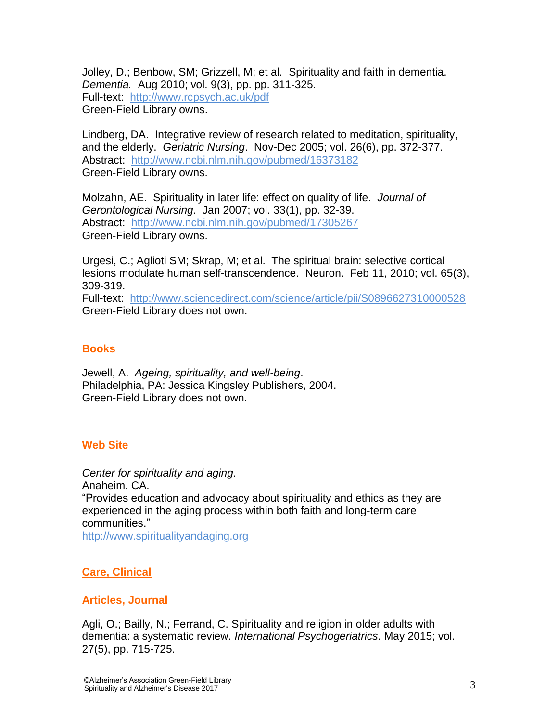Jolley, D.; Benbow, SM; Grizzell, M; et al. Spirituality and faith in dementia. *Dementia.* Aug 2010; vol. 9(3), pp. pp. 311-325. Full-text: [http://www.rcpsych.ac.uk/pdf](http://www.rcpsych.ac.uk/pdf/David%20Jolley%20and%20Susan%20Benbow%20Spirituality%20and%20Faith%20in%20Dementia%201.5.06.pdf) Green-Field Library owns.

Lindberg, DA. Integrative review of research related to meditation, spirituality, and the elderly. *Geriatric Nursing*. Nov-Dec 2005; vol. 26(6), pp. 372-377. Abstract: <http://www.ncbi.nlm.nih.gov/pubmed/16373182> Green-Field Library owns.

Molzahn, AE. Spirituality in later life: effect on quality of life. *Journal of Gerontological Nursing*. Jan 2007; vol. 33(1), pp. 32-39. Abstract: <http://www.ncbi.nlm.nih.gov/pubmed/17305267> Green-Field Library owns.

Urgesi, C.; Aglioti SM; Skrap, M; et al. The spiritual brain: selective cortical lesions modulate human self-transcendence. Neuron. Feb 11, 2010; vol. 65(3), 309-319.

Full-text: <http://www.sciencedirect.com/science/article/pii/S0896627310000528> Green-Field Library does not own.

### **Books**

Jewell, A. *Ageing, spirituality, and well-being*. Philadelphia, PA: Jessica Kingsley Publishers, 2004. Green-Field Library does not own.

### **Web Site**

*Center for spirituality and aging.* Anaheim, CA. "Provides education and advocacy about spirituality and ethics as they are experienced in the aging process within both faith and long-term care communities." [http://www.spiritualityandaging.org](http://www.spiritualityandaging.org/)

### **Care, Clinical**

### **Articles, Journal**

Agli, O.; Bailly, N.; Ferrand, C. Spirituality and religion in older adults with dementia: a systematic review. *International Psychogeriatrics*. May 2015; vol. 27(5), pp. 715-725.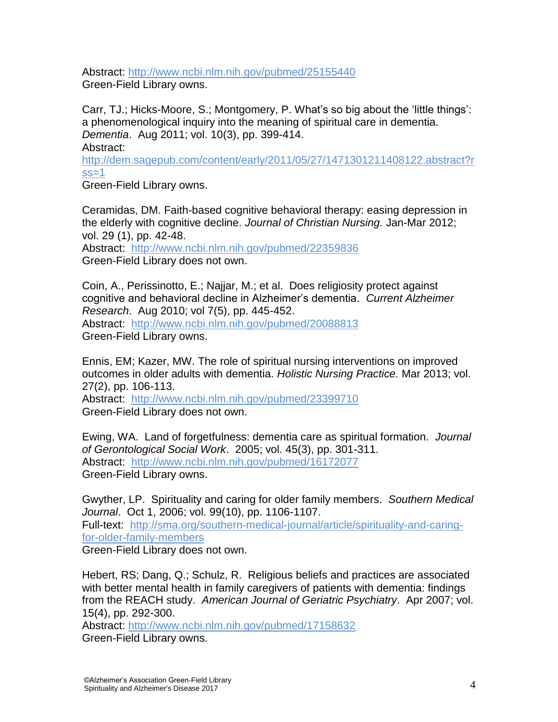Abstract:<http://www.ncbi.nlm.nih.gov/pubmed/25155440> Green-Field Library owns.

Carr, TJ.; Hicks-Moore, S.; Montgomery, P. What"s so big about the "little things": a phenomenological inquiry into the meaning of spiritual care in dementia. *Dementia*. Aug 2011; vol. 10(3), pp. 399-414. Abstract:

[http://dem.sagepub.com/content/early/2011/05/27/1471301211408122.abstract?r](http://dem.sagepub.com/content/early/2011/05/27/1471301211408122.abstract?rss=1)  $ss=1$ 

Green-Field Library owns.

Ceramidas, DM. Faith-based cognitive behavioral therapy: easing depression in the elderly with cognitive decline. *Journal of Christian Nursing.* Jan-Mar 2012; vol. 29 (1), pp. 42-48.

Abstract: <http://www.ncbi.nlm.nih.gov/pubmed/22359836> Green-Field Library does not own.

Coin, A., Perissinotto, E.; Najjar, M.; et al. Does religiosity protect against cognitive and behavioral decline in Alzheimer"s dementia. *Current Alzheimer Research*. Aug 2010; vol 7(5), pp. 445-452. Abstract: <http://www.ncbi.nlm.nih.gov/pubmed/20088813> Green-Field Library owns.

Ennis, EM; Kazer, MW. The role of spiritual nursing interventions on improved outcomes in older adults with dementia. *Holistic Nursing Practice.* Mar 2013; vol. 27(2), pp. 106-113.

Abstract: <http://www.ncbi.nlm.nih.gov/pubmed/23399710> Green-Field Library does not own.

Ewing, WA. Land of forgetfulness: dementia care as spiritual formation. *Journal of Gerontological Social Work*. 2005; vol. 45(3), pp. 301-311. Abstract: <http://www.ncbi.nlm.nih.gov/pubmed/16172077> Green-Field Library owns.

Gwyther, LP. Spirituality and caring for older family members. *Southern Medical Journal*. Oct 1, 2006; vol. 99(10), pp. 1106-1107.

Full-text: [http://sma.org/southern-medical-journal/article/spirituality-and-caring](http://sma.org/southern-medical-journal/article/spirituality-and-caring-for-older-family-members/)[for-older-family-members](http://sma.org/southern-medical-journal/article/spirituality-and-caring-for-older-family-members/)

Green-Field Library does not own.

Hebert, RS; Dang, Q.; Schulz, R. Religious beliefs and practices are associated with better mental health in family caregivers of patients with dementia: findings from the REACH study. *American Journal of Geriatric Psychiatry*. Apr 2007; vol. 15(4), pp. 292-300.

Abstract:<http://www.ncbi.nlm.nih.gov/pubmed/17158632> Green-Field Library owns.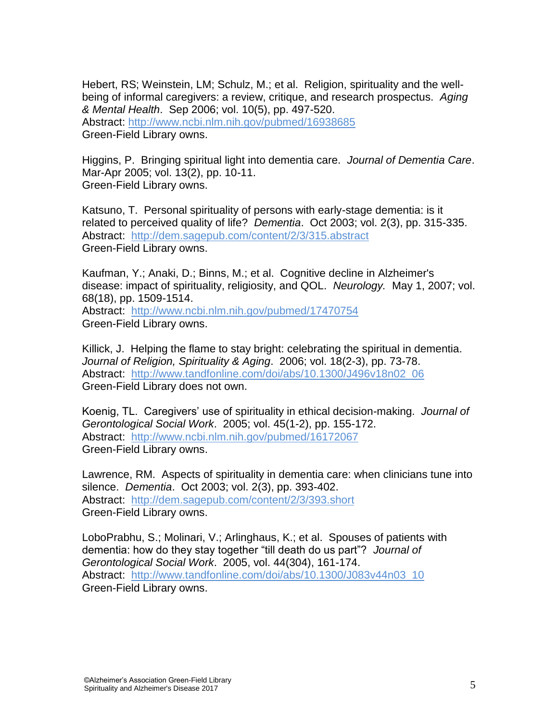Hebert, RS; Weinstein, LM; Schulz, M.; et al. Religion, spirituality and the wellbeing of informal caregivers: a review, critique, and research prospectus. *Aging & Mental Health*. Sep 2006; vol. 10(5), pp. 497-520. Abstract: <http://www.ncbi.nlm.nih.gov/pubmed/16938685> Green-Field Library owns.

Higgins, P. Bringing spiritual light into dementia care. *Journal of Dementia Care*. Mar-Apr 2005; vol. 13(2), pp. 10-11. Green-Field Library owns.

Katsuno, T. Personal spirituality of persons with early-stage dementia: is it related to perceived quality of life? *Dementia*. Oct 2003; vol. 2(3), pp. 315-335. Abstract: <http://dem.sagepub.com/content/2/3/315.abstract> Green-Field Library owns.

Kaufman, Y.; Anaki, D.; Binns, M.; et al. Cognitive decline in Alzheimer's disease: impact of spirituality, religiosity, and QOL. *Neurology.* May 1, 2007; vol. 68(18), pp. 1509-1514. Abstract: <http://www.ncbi.nlm.nih.gov/pubmed/17470754> Green-Field Library owns.

Killick, J. Helping the flame to stay bright: celebrating the spiritual in dementia. *Journal of Religion, Spirituality & Aging*. 2006; vol. 18(2-3), pp. 73-78. Abstract: [http://www.tandfonline.com/doi/abs/10.1300/J496v18n02\\_06](http://www.tandfonline.com/doi/abs/10.1300/J496v18n02_06) Green-Field Library does not own.

Koenig, TL. Caregivers" use of spirituality in ethical decision-making. *Journal of Gerontological Social Work*. 2005; vol. 45(1-2), pp. 155-172. Abstract: <http://www.ncbi.nlm.nih.gov/pubmed/16172067> Green-Field Library owns.

Lawrence, RM. Aspects of spirituality in dementia care: when clinicians tune into silence. *Dementia*. Oct 2003; vol. 2(3), pp. 393-402. Abstract: <http://dem.sagepub.com/content/2/3/393.short> Green-Field Library owns.

LoboPrabhu, S.; Molinari, V.; Arlinghaus, K.; et al. Spouses of patients with dementia: how do they stay together "till death do us part"? *Journal of Gerontological Social Work*. 2005, vol. 44(304), 161-174. Abstract: [http://www.tandfonline.com/doi/abs/10.1300/J083v44n03\\_10](http://www.tandfonline.com/doi/abs/10.1300/J083v44n03_10) Green-Field Library owns.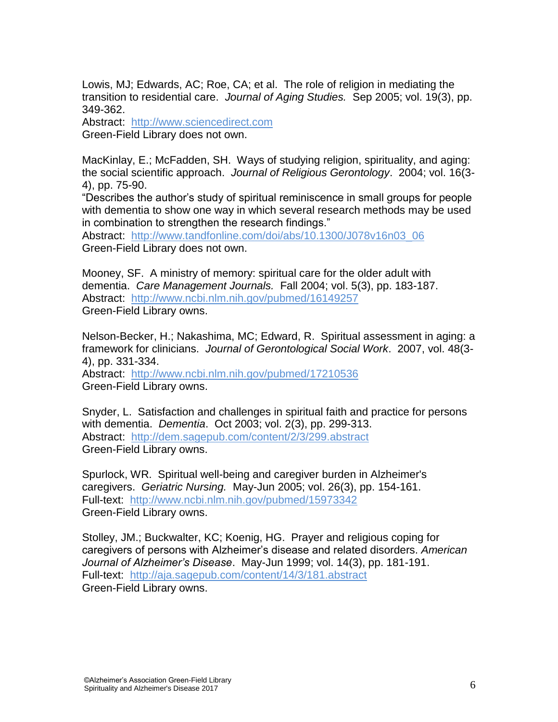Lowis, MJ; Edwards, AC; Roe, CA; et al. The role of religion in mediating the transition to residential care. *Journal of Aging Studies.* Sep 2005; vol. 19(3), pp. 349-362.

Abstract: [http://www.sciencedirect.com](http://www.sciencedirect.com/science/article/pii/S089040650500006X) Green-Field Library does not own.

MacKinlay, E.; McFadden, SH. Ways of studying religion, spirituality, and aging: the social scientific approach. *Journal of Religious Gerontology*. 2004; vol. 16(3- 4), pp. 75-90.

"Describes the author"s study of spiritual reminiscence in small groups for people with dementia to show one way in which several research methods may be used in combination to strengthen the research findings."

Abstract: [http://www.tandfonline.com/doi/abs/10.1300/J078v16n03\\_06](http://www.tandfonline.com/doi/abs/10.1300/J078v16n03_06) Green-Field Library does not own.

Mooney, SF. A ministry of memory: spiritual care for the older adult with dementia. *Care Management Journals.* Fall 2004; vol. 5(3), pp. 183-187. Abstract: <http://www.ncbi.nlm.nih.gov/pubmed/16149257> Green-Field Library owns.

Nelson-Becker, H.; Nakashima, MC; Edward, R. Spiritual assessment in aging: a framework for clinicians. *Journal of Gerontological Social Work*. 2007, vol. 48(3- 4), pp. 331-334.

Abstract: <http://www.ncbi.nlm.nih.gov/pubmed/17210536> Green-Field Library owns.

Snyder, L. Satisfaction and challenges in spiritual faith and practice for persons with dementia. *Dementia*. Oct 2003; vol. 2(3), pp. 299-313. Abstract: <http://dem.sagepub.com/content/2/3/299.abstract> Green-Field Library owns.

Spurlock, WR. Spiritual well-being and caregiver burden in Alzheimer's caregivers. *Geriatric Nursing.* May-Jun 2005; vol. 26(3), pp. 154-161. Full-text: <http://www.ncbi.nlm.nih.gov/pubmed/15973342> Green-Field Library owns.

Stolley, JM.; Buckwalter, KC; Koenig, HG. Prayer and religious coping for caregivers of persons with Alzheimer"s disease and related disorders. *American Journal of Alzheimer's Disease*. May-Jun 1999; vol. 14(3), pp. 181-191. Full-text: <http://aja.sagepub.com/content/14/3/181.abstract> Green-Field Library owns.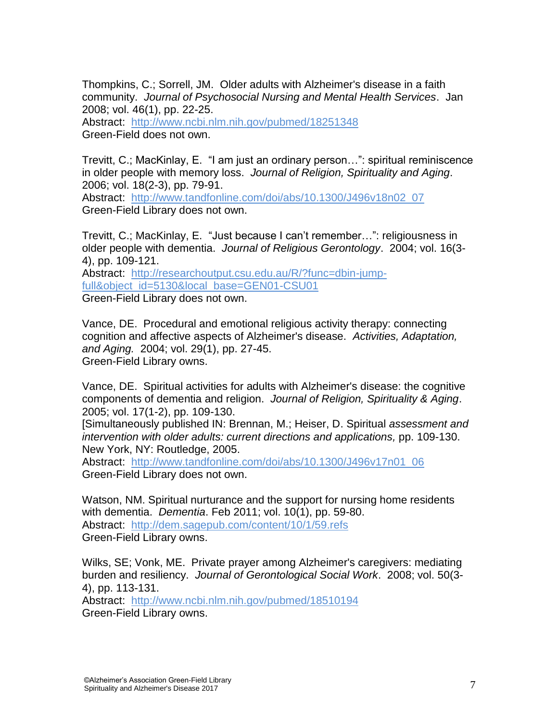Thompkins, C.; Sorrell, JM. Older adults with Alzheimer's disease in a faith community. *Journal of Psychosocial Nursing and Mental Health Services*. Jan 2008; vol. 46(1), pp. 22-25.

Abstract: <http://www.ncbi.nlm.nih.gov/pubmed/18251348> Green-Field does not own.

Trevitt, C.; MacKinlay, E. "I am just an ordinary person…": spiritual reminiscence in older people with memory loss. *Journal of Religion, Spirituality and Aging*. 2006; vol. 18(2-3), pp. 79-91.

Abstract: [http://www.tandfonline.com/doi/abs/10.1300/J496v18n02\\_07](http://www.tandfonline.com/doi/abs/10.1300/J496v18n02_07) Green-Field Library does not own.

Trevitt, C.; MacKinlay, E. "Just because I can"t remember…": religiousness in older people with dementia. *Journal of Religious Gerontology*. 2004; vol. 16(3- 4), pp. 109-121. Abstract: [http://researchoutput.csu.edu.au/R/?func=dbin-jump](http://researchoutput.csu.edu.au/R/?func=dbin-jump-full&object_id=5130&local_base=GEN01-CSU01)[full&object\\_id=5130&local\\_base=GEN01-CSU01](http://researchoutput.csu.edu.au/R/?func=dbin-jump-full&object_id=5130&local_base=GEN01-CSU01)

Green-Field Library does not own.

Vance, DE. Procedural and emotional religious activity therapy: connecting cognition and affective aspects of Alzheimer's disease. *Activities, Adaptation, and Aging.* 2004; vol. 29(1), pp. 27-45. Green-Field Library owns.

Vance, DE. Spiritual activities for adults with Alzheimer's disease: the cognitive components of dementia and religion. *Journal of Religion, Spirituality & Aging*. 2005; vol. 17(1-2), pp. 109-130.

[Simultaneously published IN: Brennan, M.; Heiser, D. Spiritual *assessment and intervention with older adults: current directions and applications,* pp. 109-130. New York, NY: Routledge, 2005.

Abstract: [http://www.tandfonline.com/doi/abs/10.1300/J496v17n01\\_06](http://www.tandfonline.com/doi/abs/10.1300/J496v17n01_06) Green-Field Library does not own.

Watson, NM. Spiritual nurturance and the support for nursing home residents with dementia. *Dementia*. Feb 2011; vol. 10(1), pp. 59-80. Abstract: <http://dem.sagepub.com/content/10/1/59.refs> Green-Field Library owns.

Wilks, SE; Vonk, ME. Private prayer among Alzheimer's caregivers: mediating burden and resiliency. *Journal of Gerontological Social Work*. 2008; vol. 50(3- 4), pp. 113-131.

Abstract: <http://www.ncbi.nlm.nih.gov/pubmed/18510194> Green-Field Library owns.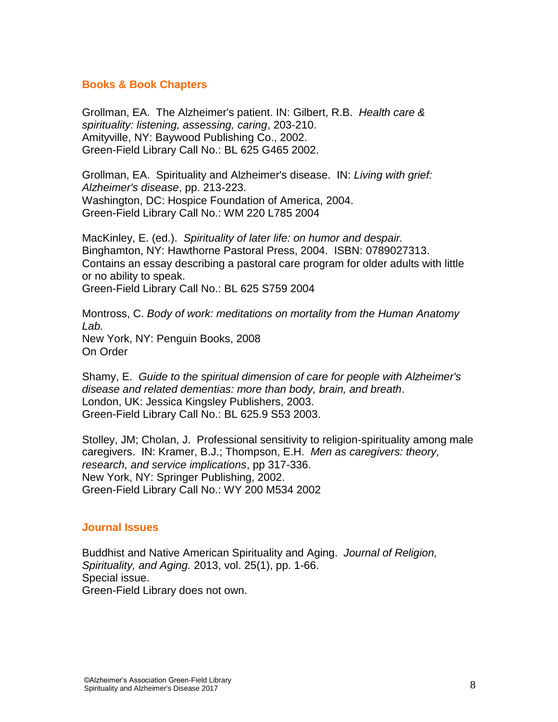### **Books & Book Chapters**

Grollman, EA. The Alzheimer's patient. IN: Gilbert, R.B. *Health care & spirituality: listening, assessing, caring*, 203-210. Amityville, NY: Baywood Publishing Co., 2002. Green-Field Library Call No.: BL 625 G465 2002.

Grollman, EA. Spirituality and Alzheimer's disease. IN: *Living with grief: Alzheimer's disease*, pp. 213-223. Washington, DC: Hospice Foundation of America, 2004. Green-Field Library Call No.: WM 220 L785 2004

MacKinley, E. (ed.). *Spirituality of later life: on humor and despair.* Binghamton, NY: Hawthorne Pastoral Press, 2004. ISBN: 0789027313. Contains an essay describing a pastoral care program for older adults with little or no ability to speak. Green-Field Library Call No.: BL 625 S759 2004

Montross, C. *Body of work: meditations on mortality from the Human Anatomy Lab.* New York, NY: Penguin Books, 2008 On Order

Shamy, E. *Guide to the spiritual dimension of care for people with Alzheimer's disease and related dementias: more than body, brain, and breath*. London, UK: Jessica Kingsley Publishers, 2003. Green-Field Library Call No.: BL 625.9 S53 2003.

Stolley, JM; Cholan, J. Professional sensitivity to religion-spirituality among male caregivers. IN: Kramer, B.J.; Thompson, E.H. *Men as caregivers: theory, research, and service implications*, pp 317-336. New York, NY: Springer Publishing, 2002. Green-Field Library Call No.: WY 200 M534 2002

### **Journal Issues**

Buddhist and Native American Spirituality and Aging.*Journal of Religion, Spirituality, and Aging.* 2013, vol. 25(1), pp. 1-66. Special issue. Green-Field Library does not own.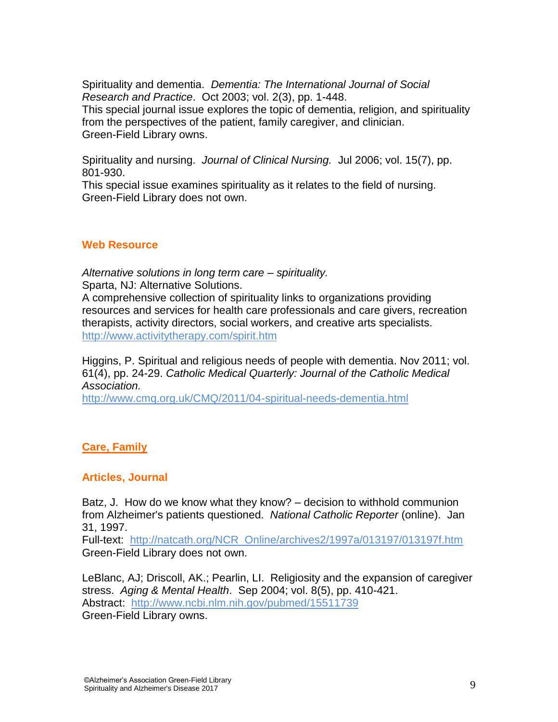Spirituality and dementia. *Dementia: The International Journal of Social Research and Practice*. Oct 2003; vol. 2(3), pp. 1-448. This special journal issue explores the topic of dementia, religion, and spirituality

from the perspectives of the patient, family caregiver, and clinician. Green-Field Library owns.

Spirituality and nursing. *Journal of Clinical Nursing.* Jul 2006; vol. 15(7), pp. 801-930.

This special issue examines spirituality as it relates to the field of nursing. Green-Field Library does not own.

### **Web Resource**

*Alternative solutions in long term care – spirituality.* Sparta, NJ: Alternative Solutions.

A comprehensive collection of spirituality links to organizations providing resources and services for health care professionals and care givers, recreation therapists, activity directors, social workers, and creative arts specialists. <http://www.activitytherapy.com/spirit.htm>

Higgins, P. Spiritual and religious needs of people with dementia. Nov 2011; vol. 61(4), pp. 24-29. *Catholic Medical Quarterly: Journal of the Catholic Medical Association.*

<http://www.cmq.org.uk/CMQ/2011/04-spiritual-needs-dementia.html>

### **Care, Family**

### **Articles, Journal**

Batz, J. How do we know what they know? – decision to withhold communion from Alzheimer's patients questioned. *National Catholic Reporter* (online). Jan 31, 1997.

Full-text: [http://natcath.org/NCR\\_Online/archives2/1997a/013197/013197f.htm](http://natcath.org/NCR_Online/archives2/1997a/013197/013197f.htm) Green-Field Library does not own.

LeBlanc, AJ; Driscoll, AK.; Pearlin, LI. Religiosity and the expansion of caregiver stress. *Aging & Mental Health*. Sep 2004; vol. 8(5), pp. 410-421. Abstract: <http://www.ncbi.nlm.nih.gov/pubmed/15511739>

Green-Field Library owns.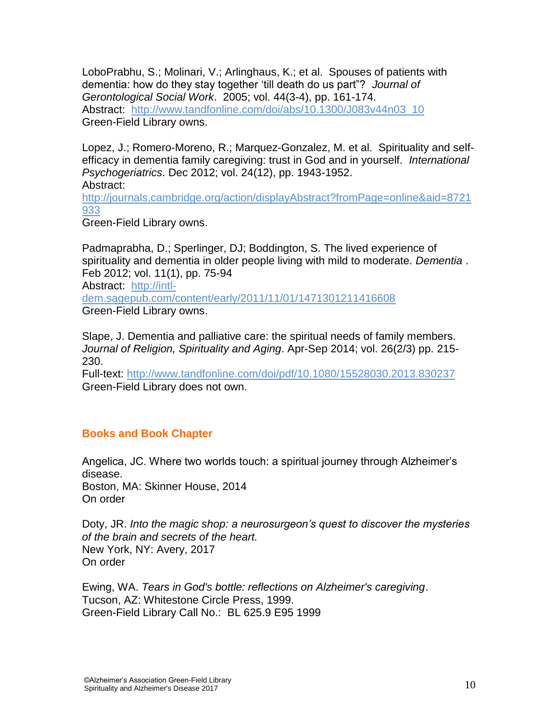LoboPrabhu, S.; Molinari, V.; Arlinghaus, K.; et al. Spouses of patients with dementia: how do they stay together "till death do us part"? *Journal of Gerontological Social Work*. 2005; vol. 44(3-4), pp. 161-174. Abstract: [http://www.tandfonline.com/doi/abs/10.1300/J083v44n03\\_10](http://www.tandfonline.com/doi/abs/10.1300/J083v44n03_10) Green-Field Library owns.

Lopez, J.; Romero-Moreno, R.; Marquez-Gonzalez, M. et al. Spirituality and selfefficacy in dementia family caregiving: trust in God and in yourself. *International Psychogeriatrics*. Dec 2012; vol. 24(12), pp. 1943-1952. Abstract:

[http://journals.cambridge.org/action/displayAbstract?fromPage=online&aid=8721](http://journals.cambridge.org/action/displayAbstract?fromPage=online&aid=8721933) [933](http://journals.cambridge.org/action/displayAbstract?fromPage=online&aid=8721933)

Green-Field Library owns.

Padmaprabha, D.; Sperlinger, DJ; Boddington, S. The lived experience of spirituality and dementia in older people living with mild to moderate. *Dementia* . Feb 2012; vol. 11(1), pp. 75-94

Abstract: [http://intl](http://intl-dem.sagepub.com/content/early/2011/11/01/1471301211416608)[dem.sagepub.com/content/early/2011/11/01/1471301211416608](http://intl-dem.sagepub.com/content/early/2011/11/01/1471301211416608) Green-Field Library owns.

Slape, J. Dementia and palliative care: the spiritual needs of family members. *Journal of Religion, Spirituality and Aging*. Apr-Sep 2014; vol. 26(2/3) pp. 215- 230.

Full-text:<http://www.tandfonline.com/doi/pdf/10.1080/15528030.2013.830237> Green-Field Library does not own.

### **Books and Book Chapter**

Angelica, JC. Where two worlds touch: a spiritual journey through Alzheimer"s disease. Boston, MA: Skinner House, 2014 On order

Doty, JR. *Into the magic shop: a neurosurgeon's quest to discover the mysteries of the brain and secrets of the heart.* New York, NY: Avery, 2017 On order

Ewing, WA. *Tears in God's bottle: reflections on Alzheimer's caregiving*. Tucson, AZ: Whitestone Circle Press, 1999. Green-Field Library Call No.: BL 625.9 E95 1999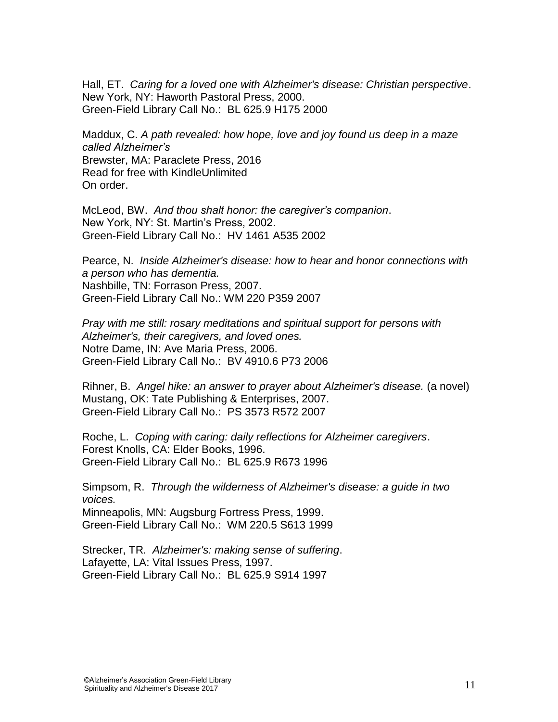Hall, ET. *Caring for a loved one with Alzheimer's disease: Christian perspective*. New York, NY: Haworth Pastoral Press, 2000. Green-Field Library Call No.: BL 625.9 H175 2000

Maddux, C. *A path revealed: how hope, love and joy found us deep in a maze called Alzheimer's* Brewster, MA: Paraclete Press, 2016 Read for free with KindleUnlimited On order.

McLeod, BW. *And thou shalt honor: the caregiver's companion*. New York, NY: St. Martin"s Press, 2002. Green-Field Library Call No.: HV 1461 A535 2002

Pearce, N. *Inside Alzheimer's disease: how to hear and honor connections with a person who has dementia.* Nashbille, TN: Forrason Press, 2007. Green-Field Library Call No.: WM 220 P359 2007

*Pray with me still: rosary meditations and spiritual support for persons with Alzheimer's, their caregivers, and loved ones.* Notre Dame, IN: Ave Maria Press, 2006. Green-Field Library Call No.: BV 4910.6 P73 2006

Rihner, B. *Angel hike: an answer to prayer about Alzheimer's disease.* (a novel) Mustang, OK: Tate Publishing & Enterprises, 2007. Green-Field Library Call No.: PS 3573 R572 2007

Roche, L. *Coping with caring: daily reflections for Alzheimer caregivers*. Forest Knolls, CA: Elder Books, 1996. Green-Field Library Call No.: BL 625.9 R673 1996

Simpsom, R. *Through the wilderness of Alzheimer's disease: a guide in two voices.* 

Minneapolis, MN: Augsburg Fortress Press, 1999. Green-Field Library Call No.: WM 220.5 S613 1999

Strecker, TR*. Alzheimer's: making sense of suffering*. Lafayette, LA: Vital Issues Press, 1997. Green-Field Library Call No.: BL 625.9 S914 1997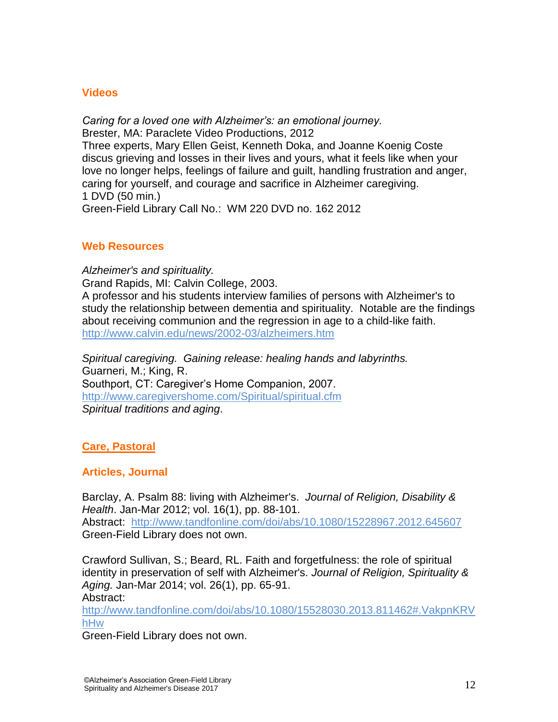#### **Videos**

*Caring for a loved one with Alzheimer's: an emotional journey.* Brester, MA: Paraclete Video Productions, 2012 Three experts, Mary Ellen Geist, Kenneth Doka, and Joanne Koenig Coste discus grieving and losses in their lives and yours, what it feels like when your love no longer helps, feelings of failure and guilt, handling frustration and anger, caring for yourself, and courage and sacrifice in Alzheimer caregiving. 1 DVD (50 min.)

### Green-Field Library Call No.: WM 220 DVD no. 162 2012

#### **Web Resources**

*Alzheimer's and spirituality.*  Grand Rapids, MI: Calvin College, 2003. A professor and his students interview families of persons with Alzheimer's to study the relationship between dementia and spirituality. Notable are the findings about receiving communion and the regression in age to a child-like faith. <http://www.calvin.edu/news/2002-03/alzheimers.htm>

*Spiritual caregiving. Gaining release: healing hands and labyrinths.* Guarneri, M.; King, R. Southport, CT: Caregiver's Home Companion, 2007. <http://www.caregivershome.com/Spiritual/spiritual.cfm> *Spiritual traditions and aging*.

### **Care, Pastoral**

### **Articles, Journal**

Barclay, A. Psalm 88: living with Alzheimer's. *Journal of Religion, Disability & Health*. Jan-Mar 2012; vol. 16(1), pp. 88-101. Abstract: <http://www.tandfonline.com/doi/abs/10.1080/15228967.2012.645607> Green-Field Library does not own.

Crawford Sullivan, S.; Beard, RL. Faith and forgetfulness: the role of spiritual identity in preservation of self with Alzheimer's. *Journal of Religion, Spirituality & Aging.* Jan-Mar 2014; vol. 26(1), pp. 65-91. Abstract:

[http://www.tandfonline.com/doi/abs/10.1080/15528030.2013.811462#.VakpnKRV](http://www.tandfonline.com/doi/abs/10.1080/15528030.2013.811462%23.VakpnKRVhHw) [hHw](http://www.tandfonline.com/doi/abs/10.1080/15528030.2013.811462%23.VakpnKRVhHw)

Green-Field Library does not own.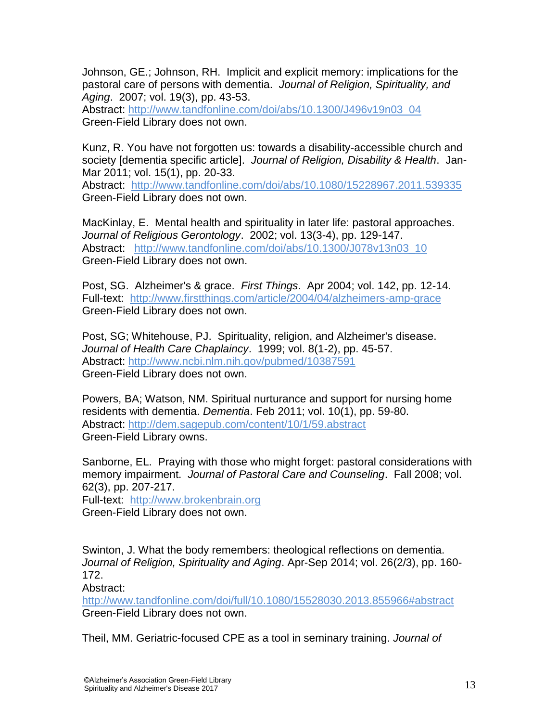Johnson, GE.; Johnson, RH. Implicit and explicit memory: implications for the pastoral care of persons with dementia. *Journal of Religion, Spirituality, and Aging*. 2007; vol. 19(3), pp. 43-53.

Abstract: [http://www.tandfonline.com/doi/abs/10.1300/J496v19n03\\_04](http://www.tandfonline.com/doi/abs/10.1300/J496v19n03_04) Green-Field Library does not own.

Kunz, R. You have not forgotten us: towards a disability-accessible church and society [dementia specific article]. *Journal of Religion, Disability & Health*. Jan-Mar 2011; vol. 15(1), pp. 20-33.

Abstract: <http://www.tandfonline.com/doi/abs/10.1080/15228967.2011.539335> Green-Field Library does not own.

MacKinlay, E. Mental health and spirituality in later life: pastoral approaches. *Journal of Religious Gerontology*. 2002; vol. 13(3-4), pp. 129-147. Abstract: [http://www.tandfonline.com/doi/abs/10.1300/J078v13n03\\_10](http://www.tandfonline.com/doi/abs/10.1300/J078v13n03_10) Green-Field Library does not own.

Post, SG. Alzheimer's & grace. *First Things*. Apr 2004; vol. 142, pp. 12-14. Full-text: <http://www.firstthings.com/article/2004/04/alzheimers-amp-grace> Green-Field Library does not own.

Post, SG; Whitehouse, PJ. Spirituality, religion, and Alzheimer's disease. *Journal of Health Care Chaplaincy*. 1999; vol. 8(1-2), pp. 45-57. Abstract:<http://www.ncbi.nlm.nih.gov/pubmed/10387591> Green-Field Library does not own.

Powers, BA; Watson, NM. Spiritual nurturance and support for nursing home residents with dementia. *Dementia*. Feb 2011; vol. 10(1), pp. 59-80. Abstract:<http://dem.sagepub.com/content/10/1/59.abstract> Green-Field Library owns.

Sanborne, EL. Praying with those who might forget: pastoral considerations with memory impairment. *Journal of Pastoral Care and Counseling*. Fall 2008; vol. 62(3), pp. 207-217.

Full-text: [http://www.brokenbrain.org](http://www.brokenbrain.org/) Green-Field Library does not own.

Swinton, J. What the body remembers: theological reflections on dementia. *Journal of Religion, Spirituality and Aging*. Apr-Sep 2014; vol. 26(2/3), pp. 160- 172.

Abstract:

[http://www.tandfonline.com/doi/full/10.1080/15528030.2013.855966#abstract](http://www.tandfonline.com/doi/full/10.1080/15528030.2013.855966%23abstract) Green-Field Library does not own.

Theil, MM. Geriatric-focused CPE as a tool in seminary training. *Journal of*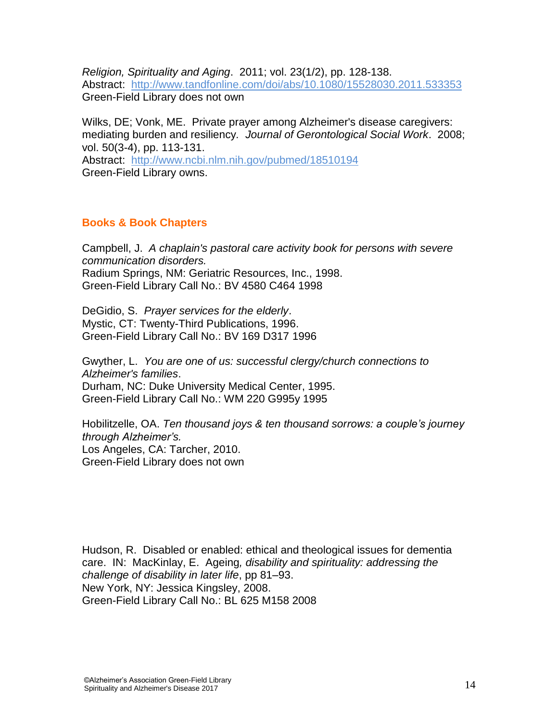*Religion, Spirituality and Aging*. 2011; vol. 23(1/2), pp. 128-138. Abstract: <http://www.tandfonline.com/doi/abs/10.1080/15528030.2011.533353> Green-Field Library does not own

Wilks, DE; Vonk, ME. Private prayer among Alzheimer's disease caregivers: mediating burden and resiliency*. Journal of Gerontological Social Work*. 2008; vol. 50(3-4), pp. 113-131. Abstract: <http://www.ncbi.nlm.nih.gov/pubmed/18510194> Green-Field Library owns.

### **Books & Book Chapters**

Campbell, J. *A chaplain's pastoral care activity book for persons with severe communication disorders.* Radium Springs, NM: Geriatric Resources, Inc., 1998. Green-Field Library Call No.: BV 4580 C464 1998

DeGidio, S. *Prayer services for the elderly*. Mystic, CT: Twenty-Third Publications, 1996. Green-Field Library Call No.: BV 169 D317 1996

Gwyther, L. *You are one of us: successful clergy/church connections to Alzheimer's families*. Durham, NC: Duke University Medical Center, 1995. Green-Field Library Call No.: WM 220 G995y 1995

Hobilitzelle, OA. *Ten thousand joys & ten thousand sorrows: a couple's journey through Alzheimer's.* Los Angeles, CA: Tarcher, 2010. Green-Field Library does not own

Hudson, R. Disabled or enabled: ethical and theological issues for dementia care. IN: MacKinlay, E. Ageing*, disability and spirituality: addressing the challenge of disability in later life*, pp 81–93. New York, NY: Jessica Kingsley, 2008. Green-Field Library Call No.: BL 625 M158 2008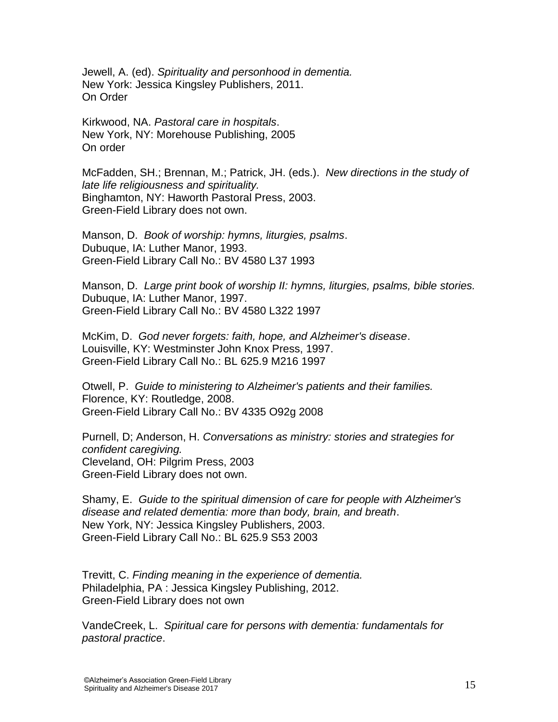Jewell, A. (ed). *Spirituality and personhood in dementia.* New York: Jessica Kingsley Publishers, 2011. On Order

Kirkwood, NA. *Pastoral care in hospitals*. New York, NY: Morehouse Publishing, 2005 On order

McFadden, SH.; Brennan, M.; Patrick, JH. (eds.). *New directions in the study of late life religiousness and spirituality.*  Binghamton, NY: Haworth Pastoral Press, 2003. Green-Field Library does not own.

Manson, D. *Book of worship: hymns, liturgies, psalms*. Dubuque, IA: Luther Manor, 1993. Green-Field Library Call No.: BV 4580 L37 1993

Manson, D. *Large print book of worship II: hymns, liturgies, psalms, bible stories.* Dubuque, IA: Luther Manor, 1997. Green-Field Library Call No.: BV 4580 L322 1997

McKim, D. *God never forgets: faith, hope, and Alzheimer's disease*. Louisville, KY: Westminster John Knox Press, 1997. Green-Field Library Call No.: BL 625.9 M216 1997

Otwell, P. *Guide to ministering to Alzheimer's patients and their families.* Florence, KY: Routledge, 2008. Green-Field Library Call No.: BV 4335 O92g 2008

Purnell, D; Anderson, H. *Conversations as ministry: stories and strategies for confident caregiving.* Cleveland, OH: Pilgrim Press, 2003 Green-Field Library does not own.

Shamy, E. *Guide to the spiritual dimension of care for people with Alzheimer's disease and related dementia: more than body, brain, and breath*. New York, NY: Jessica Kingsley Publishers, 2003. Green-Field Library Call No.: BL 625.9 S53 2003

Trevitt, C. *Finding meaning in the experience of dementia.* Philadelphia, PA : Jessica Kingsley Publishing, 2012. Green-Field Library does not own

VandeCreek, L. *Spiritual care for persons with dementia: fundamentals for pastoral practice*.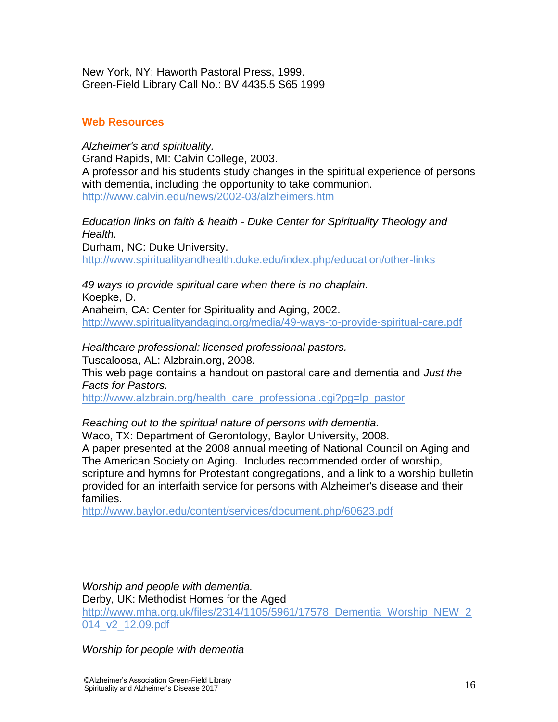New York, NY: Haworth Pastoral Press, 1999. Green-Field Library Call No.: BV 4435.5 S65 1999

### **Web Resources**

*Alzheimer's and spirituality.* Grand Rapids, MI: Calvin College, 2003. A professor and his students study changes in the spiritual experience of persons with dementia, including the opportunity to take communion. <http://www.calvin.edu/news/2002-03/alzheimers.htm>

*Education links on faith & health - Duke Center for Spirituality Theology and Health.*

Durham, NC: Duke University. <http://www.spiritualityandhealth.duke.edu/index.php/education/other-links>

*49 ways to provide spiritual care when there is no chaplain.* Koepke, D. Anaheim, CA: Center for Spirituality and Aging, 2002. <http://www.spiritualityandaging.org/media/49-ways-to-provide-spiritual-care.pdf>

*Healthcare professional: licensed professional pastors.* Tuscaloosa, AL: Alzbrain.org, 2008. This web page contains a handout on pastoral care and dementia and *Just the Facts for Pastors.*

[http://www.alzbrain.org/health\\_care\\_professional.cgi?pg=lp\\_pastor](http://www.alzbrain.org/health_care_professional.cgi?pg=lp_pastor)

*Reaching out to the spiritual nature of persons with dementia.* Waco, TX: Department of Gerontology, Baylor University, 2008.

A paper presented at the 2008 annual meeting of National Council on Aging and The American Society on Aging. Includes recommended order of worship, scripture and hymns for Protestant congregations, and a link to a worship bulletin provided for an interfaith service for persons with Alzheimer's disease and their families.

<http://www.baylor.edu/content/services/document.php/60623.pdf>

*Worship and people with dementia.* Derby, UK: Methodist Homes for the Aged [http://www.mha.org.uk/files/2314/1105/5961/17578\\_Dementia\\_Worship\\_NEW\\_2](http://www.mha.org.uk/files/2314/1105/5961/17578_Dementia_Worship_NEW_2014_v2_12.09.pdf) [014\\_v2\\_12.09.pdf](http://www.mha.org.uk/files/2314/1105/5961/17578_Dementia_Worship_NEW_2014_v2_12.09.pdf)

*Worship for people with dementia*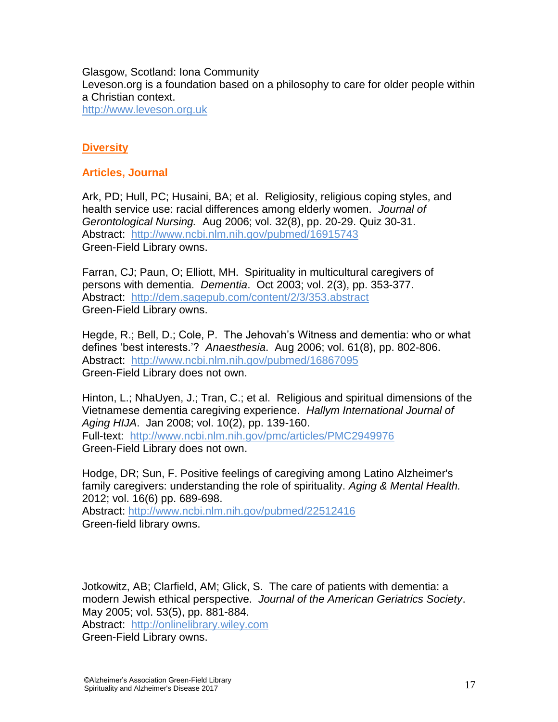Glasgow, Scotland: Iona Community Leveson.org is a foundation based on a philosophy to care for older people within a Christian context. [http://www.leveson.org.uk](http://www.leveson.org.uk/stmarys/resources/service-for-dementia.pdf)

### **Diversity**

#### **Articles, Journal**

Ark, PD; Hull, PC; Husaini, BA; et al. Religiosity, religious coping styles, and health service use: racial differences among elderly women. *Journal of Gerontological Nursing.* Aug 2006; vol. 32(8), pp. 20-29. Quiz 30-31. Abstract: <http://www.ncbi.nlm.nih.gov/pubmed/16915743> Green-Field Library owns.

Farran, CJ; Paun, O; Elliott, MH. Spirituality in multicultural caregivers of persons with dementia. *Dementia*. Oct 2003; vol. 2(3), pp. 353-377. Abstract: <http://dem.sagepub.com/content/2/3/353.abstract> Green-Field Library owns.

Hegde, R.; Bell, D.; Cole, P. The Jehovah"s Witness and dementia: who or what defines "best interests."? *Anaesthesia*. Aug 2006; vol. 61(8), pp. 802-806. Abstract: <http://www.ncbi.nlm.nih.gov/pubmed/16867095> Green-Field Library does not own.

Hinton, L.; NhaUyen, J.; Tran, C.; et al. Religious and spiritual dimensions of the Vietnamese dementia caregiving experience. *Hallym International Journal of Aging HIJA*. Jan 2008; vol. 10(2), pp. 139-160. Full-text: <http://www.ncbi.nlm.nih.gov/pmc/articles/PMC2949976> Green-Field Library does not own.

Hodge, DR; Sun, F. Positive feelings of caregiving among Latino Alzheimer's family caregivers: understanding the role of spirituality. *Aging & Mental Health.* 2012; vol. 16(6) pp. 689-698. Abstract:<http://www.ncbi.nlm.nih.gov/pubmed/22512416> Green-field library owns.

Jotkowitz, AB; Clarfield, AM; Glick, S. The care of patients with dementia: a modern Jewish ethical perspective. *Journal of the American Geriatrics Society*. May 2005; vol. 53(5), pp. 881-884.

Abstract: [http://onlinelibrary.wiley.com](http://onlinelibrary.wiley.com/doi/10.1111/j.1532-5415.2005.53271.x/abstract?systemMessage=Wiley+Online+Library+will+be+disrupted+on+23+February+from+10%3A00-12%3A00+BST+%2805%3A00-07%3A00+EDT%29+for+essential+maintenance&userIsAuthenticated=false&deniedAccessCustomisedMessage=) Green-Field Library owns.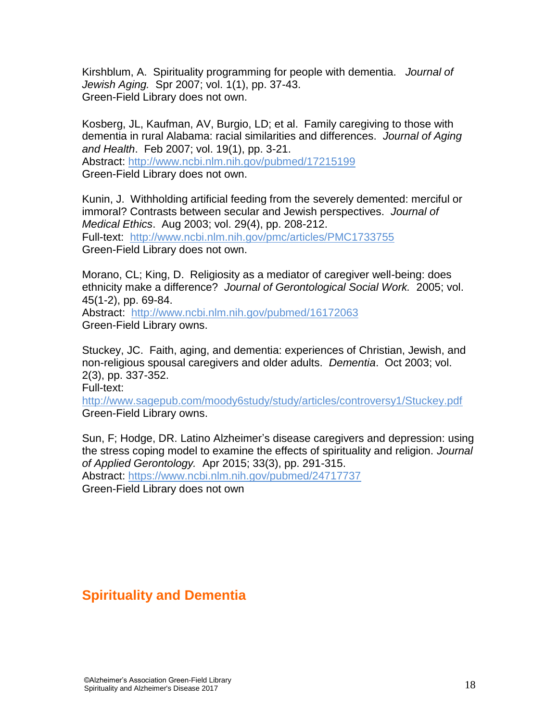Kirshblum, A. Spirituality programming for people with dementia. *Journal of Jewish Aging.* Spr 2007; vol. 1(1), pp. 37-43. Green-Field Library does not own.

Kosberg, JL, Kaufman, AV, Burgio, LD; et al. Family caregiving to those with dementia in rural Alabama: racial similarities and differences. *Journal of Aging and Health*. Feb 2007; vol. 19(1), pp. 3-21. Abstract:<http://www.ncbi.nlm.nih.gov/pubmed/17215199> Green-Field Library does not own.

Kunin, J. Withholding artificial feeding from the severely demented: merciful or immoral? Contrasts between secular and Jewish perspectives. *Journal of Medical Ethics*. Aug 2003; vol. 29(4), pp. 208-212. Full-text: <http://www.ncbi.nlm.nih.gov/pmc/articles/PMC1733755> Green-Field Library does not own.

Morano, CL; King, D. Religiosity as a mediator of caregiver well-being: does ethnicity make a difference? *Journal of Gerontological Social Work.* 2005; vol. 45(1-2), pp. 69-84.

Abstract: <http://www.ncbi.nlm.nih.gov/pubmed/16172063> Green-Field Library owns.

Stuckey, JC. Faith, aging, and dementia: experiences of Christian, Jewish, and non-religious spousal caregivers and older adults. *Dementia*. Oct 2003; vol. 2(3), pp. 337-352. Full-text:

<http://www.sagepub.com/moody6study/study/articles/controversy1/Stuckey.pdf> Green-Field Library owns.

Sun, F; Hodge, DR. Latino Alzheimer"s disease caregivers and depression: using the stress coping model to examine the effects of spirituality and religion. *Journal of Applied Gerontology.* Apr 2015; 33(3), pp. 291-315.

Abstract:<https://www.ncbi.nlm.nih.gov/pubmed/24717737>

Green-Field Library does not own

## **Spirituality and Dementia**